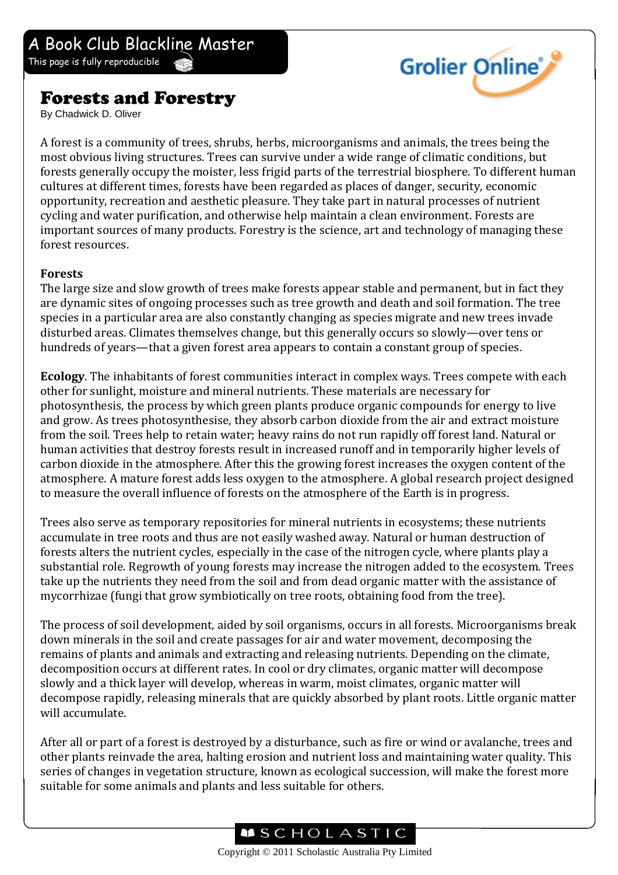## Forests and Forestry

By Chadwick D. Oliver

A forest is a community of trees, shrubs, herbs, microorganisms and animals, the trees being the most obvious living structures. Trees can survive under a wide range of climatic conditions, but forests generally occupy the moister, less frigid parts of the terrestrial biosphere. To different human cultures at different times, forests have been regarded as places of danger, security, economic opportunity, recreation and aesthetic pleasure. They take part in natural processes of nutrient cycling and water purification, and otherwise help maintain a clean environment. Forests are important sources of many products. Forestry is the science, art and technology of managing these forest resources.

**Grolier Online** 

## **Forests**

The large size and slow growth of trees make forests appear stable and permanent, but in fact they are dynamic sites of ongoing processes such as tree growth and death and soil formation. The tree species in a particular area are also constantly changing as species migrate and new trees invade disturbed areas. Climates themselves change, but this generally occurs so slowly—over tens or hundreds of years—that a given forest area appears to contain a constant group of species.

**Ecology**. The inhabitants of forest communities interact in complex ways. Trees compete with each other for sunlight, moisture and mineral nutrients. These materials are necessary for photosynthesis, the process by which green plants produce organic compounds for energy to live and grow. As trees photosynthesise, they absorb carbon dioxide from the air and extract moisture from the soil. Trees help to retain water; heavy rains do not run rapidly off forest land. Natural or human activities that destroy forests result in increased runoff and in temporarily higher levels of carbon dioxide in the atmosphere. After this the growing forest increases the oxygen content of the atmosphere. A mature forest adds less oxygen to the atmosphere. A global research project designed to measure the overall influence of forests on the atmosphere of the Earth is in progress.

Trees also serve as temporary repositories for mineral nutrients in ecosystems; these nutrients accumulate in tree roots and thus are not easily washed away. Natural or human destruction of forests alters the nutrient cycles, especially in the case of the nitrogen cycle, where plants play a substantial role. Regrowth of young forests may increase the nitrogen added to the ecosystem. Trees take up the nutrients they need from the soil and from dead organic matter with the assistance of mycorrhizae (fungi that grow symbiotically on tree roots, obtaining food from the tree).

The process of soil development, aided by soil organisms, occurs in all forests. Microorganisms break down minerals in the soil and create passages for air and water movement, decomposing the remains of plants and animals and extracting and releasing nutrients. Depending on the climate, decomposition occurs at different rates. In cool or dry climates, organic matter will decompose slowly and a thick layer will develop, whereas in warm, moist climates, organic matter will decompose rapidly, releasing minerals that are quickly absorbed by plant roots. Little organic matter will accumulate.

After all or part of a forest is destroyed by a disturbance, such as fire or wind or avalanche, trees and other plants reinvade the area, halting erosion and nutrient loss and maintaining water quality. This series of changes in vegetation structure, known as ecological succession, will make the forest more suitable for some animals and plants and less suitable for others.